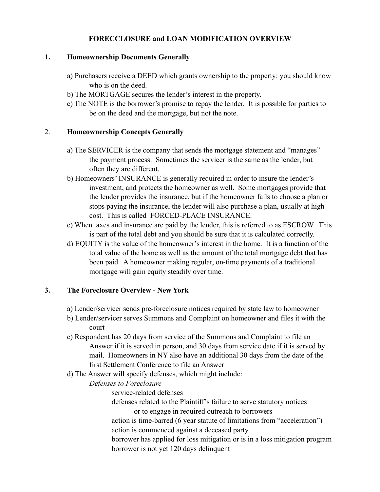## **FORECCLOSURE and LOAN MODIFICATION OVERVIEW**

### **1. Homeownership Documents Generally**

- a) Purchasers receive a DEED which grants ownership to the property: you should know who is on the deed.
- b) The MORTGAGE secures the lender's interest in the property.
- c) The NOTE is the borrower's promise to repay the lender. It is possible for parties to be on the deed and the mortgage, but not the note.

## 2. **Homeownership Concepts Generally**

- a) The SERVICER is the company that sends the mortgage statement and "manages" the payment process. Sometimes the servicer is the same as the lender, but often they are different.
- b) Homeowners' INSURANCE is generally required in order to insure the lender's investment, and protects the homeowner as well. Some mortgages provide that the lender provides the insurance, but if the homeowner fails to choose a plan or stops paying the insurance, the lender will also purchase a plan, usually at high cost. This is called FORCED-PLACE INSURANCE.
- c) When taxes and insurance are paid by the lender, this is referred to as ESCROW. This is part of the total debt and you should be sure that it is calculated correctly.
- d) EQUITY is the value of the homeowner's interest in the home. It is a function of the total value of the home as well as the amount of the total mortgage debt that has been paid. A homeowner making regular, on-time payments of a traditional mortgage will gain equity steadily over time.

## **3. The Foreclosure Overview - New York**

- a) Lender/servicer sends pre-foreclosure notices required by state law to homeowner
- b) Lender/servicer serves Summons and Complaint on homeowner and files it with the court
- c) Respondent has 20 days from service of the Summons and Complaint to file an Answer if it is served in person, and 30 days from service date if it is served by mail. Homeowners in NY also have an additional 30 days from the date of the first Settlement Conference to file an Answer
- d) The Answer will specify defenses, which might include:

# *Defenses to Foreclosure*

- service-related defenses
- defenses related to the Plaintiff's failure to serve statutory notices or to engage in required outreach to borrowers
- action is time-barred (6 year statute of limitations from "acceleration") action is commenced against a deceased party
- borrower has applied for loss mitigation or is in a loss mitigation program borrower is not yet 120 days delinquent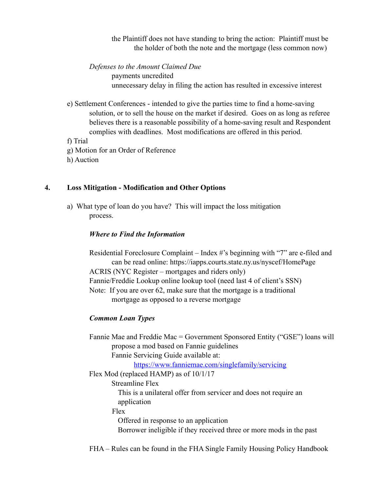the Plaintiff does not have standing to bring the action: Plaintiff must be the holder of both the note and the mortgage (less common now)

 *Defenses to the Amount Claimed Due* payments uncredited unnecessary delay in filing the action has resulted in excessive interest

 e) Settlement Conferences - intended to give the parties time to find a home-saving solution, or to sell the house on the market if desired. Goes on as long as referee believes there is a reasonable possibility of a home-saving result and Respondent complies with deadlines. Most modifications are offered in this period.

f) Trial

- g) Motion for an Order of Reference
- h) Auction

#### **4. Loss Mitigation - Modification and Other Options**

 a) What type of loan do you have? This will impact the loss mitigation process.

#### *Where to Find the Information*

 Residential Foreclosure Complaint – Index #'s beginning with "7" are e-filed and can be read online: https://iapps.courts.state.ny.us/nyscef/HomePage ACRIS (NYC Register – mortgages and riders only) Fannie/Freddie Lookup online lookup tool (need last 4 of client's SSN) Note: If you are over 62, make sure that the mortgage is a traditional mortgage as opposed to a reverse mortgage

### *Common Loan Types*

 Fannie Mae and Freddie Mac = Government Sponsored Entity ("GSE") loans will propose a mod based on Fannie guidelines Fannie Servicing Guide available at:

<https://www.fanniemae.com/singlefamily/servicing>

 Flex Mod (replaced HAMP) as of 10/1/17 Streamline Flex This is a unilateral offer from servicer and does not require an application Flex Offered in response to an application Borrower ineligible if they received three or more mods in the past

FHA – Rules can be found in the FHA Single Family Housing Policy Handbook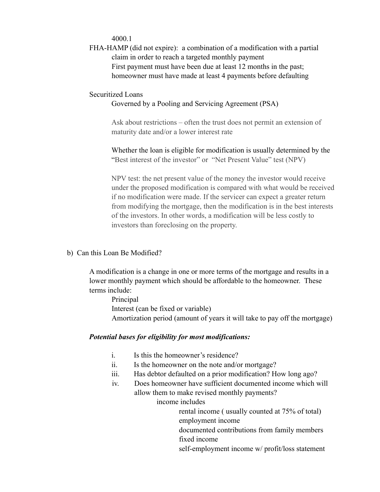4000.1

 FHA-HAMP (did not expire): a combination of a modification with a partial claim in order to reach a targeted monthly payment First payment must have been due at least 12 months in the past; homeowner must have made at least 4 payments before defaulting

### Securitized Loans

#### Governed by a Pooling and Servicing Agreement (PSA)

 Ask about restrictions – often the trust does not permit an extension of maturity date and/or a lower interest rate

 Whether the loan is eligible for modification is usually determined by the "Best interest of the investor" or "Net Present Value" test (NPV)

 NPV test: the net present value of the money the investor would receive under the proposed modification is compared with what would be received if no modification were made. If the servicer can expect a greater return from modifying the mortgage, then the modification is in the best interests of the investors. In other words, a modification will be less costly to investors than foreclosing on the property.

#### b) Can this Loan Be Modified?

 A modification is a change in one or more terms of the mortgage and results in a lower monthly payment which should be affordable to the homeowner. These terms include:

 Principal Interest (can be fixed or variable) Amortization period (amount of years it will take to pay off the mortgage)

#### *Potential bases for eligibility for most modifications:*

- i. Is this the homeowner's residence?
- ii. Is the homeowner on the note and/or mortgage?
- iii. Has debtor defaulted on a prior modification? How long ago?
- iv. Does homeowner have sufficient documented income which will allow them to make revised monthly payments?

income includes

 rental income ( usually counted at 75% of total) employment income

 documented contributions from family members fixed income

self-employment income w/ profit/loss statement